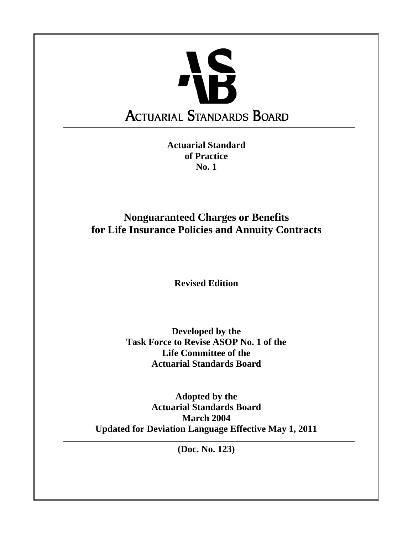

**Actuarial Standard of Practice No. 1** 

**Nonguaranteed Charges or Benefits for Life Insurance Policies and Annuity Contracts** 

**Revised Edition** 

**Developed by the Task Force to Revise ASOP No. 1 of the Life Committee of the Actuarial Standards Board** 

**Adopted by the Actuarial Standards Board March 2004 Updated for Deviation Language Effective May 1, 2011** 

**(Doc. No. 123)**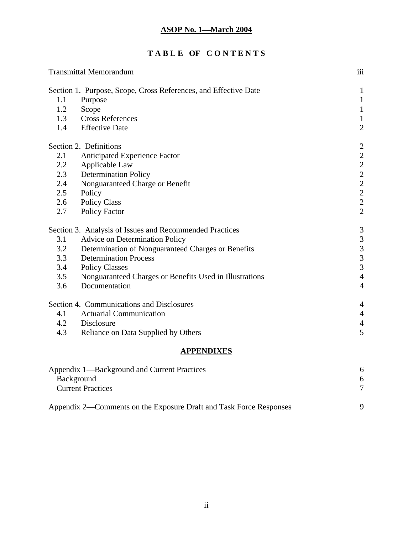# **T A B L E OF C O N T E N T S**

| <b>Transmittal Memorandum</b> |                                                                 |                                                   |  |  |
|-------------------------------|-----------------------------------------------------------------|---------------------------------------------------|--|--|
|                               | Section 1. Purpose, Scope, Cross References, and Effective Date | $\mathbf{1}$                                      |  |  |
| 1.1                           | Purpose                                                         | $\mathbf{1}$                                      |  |  |
| 1.2                           | Scope                                                           | $\mathbf{1}$                                      |  |  |
| 1.3                           | <b>Cross References</b>                                         | $\,1\,$                                           |  |  |
| 1.4                           | <b>Effective Date</b>                                           | $\overline{2}$                                    |  |  |
|                               | Section 2. Definitions                                          | $\overline{2}$                                    |  |  |
| 2.1                           | Anticipated Experience Factor                                   | $\overline{c}$                                    |  |  |
| 2.2                           | Applicable Law                                                  |                                                   |  |  |
| 2.3                           | <b>Determination Policy</b>                                     |                                                   |  |  |
| 2.4                           | Nonguaranteed Charge or Benefit                                 | $\begin{array}{c}\n2 \\ 2 \\ 2 \\ 2\n\end{array}$ |  |  |
| 2.5                           | Policy                                                          |                                                   |  |  |
| 2.6                           | <b>Policy Class</b>                                             |                                                   |  |  |
| 2.7                           | <b>Policy Factor</b>                                            | $\overline{2}$                                    |  |  |
|                               | Section 3. Analysis of Issues and Recommended Practices         | $\frac{3}{3}$                                     |  |  |
| 3.1                           | <b>Advice on Determination Policy</b>                           |                                                   |  |  |
| 3.2                           | Determination of Nonguaranteed Charges or Benefits              | $\begin{array}{c} 3 \\ 3 \\ 3 \end{array}$        |  |  |
| 3.3                           | <b>Determination Process</b>                                    |                                                   |  |  |
| 3.4                           | <b>Policy Classes</b>                                           |                                                   |  |  |
| 3.5                           | Nonguaranteed Charges or Benefits Used in Illustrations         | $\overline{4}$                                    |  |  |
| 3.6                           | Documentation                                                   | $\overline{4}$                                    |  |  |
|                               | Section 4. Communications and Disclosures                       | $\overline{4}$                                    |  |  |
| 4.1                           | <b>Actuarial Communication</b>                                  | $\overline{4}$                                    |  |  |
| 4.2                           | Disclosure                                                      | $\overline{4}$                                    |  |  |
| 4.3                           | Reliance on Data Supplied by Others                             | 5                                                 |  |  |
| <b>APPENDIXES</b>             |                                                                 |                                                   |  |  |

| Appendix 1—Background and Current Practices                        |   |
|--------------------------------------------------------------------|---|
| <b>Background</b>                                                  | 6 |
| <b>Current Practices</b>                                           |   |
| Appendix 2—Comments on the Exposure Draft and Task Force Responses |   |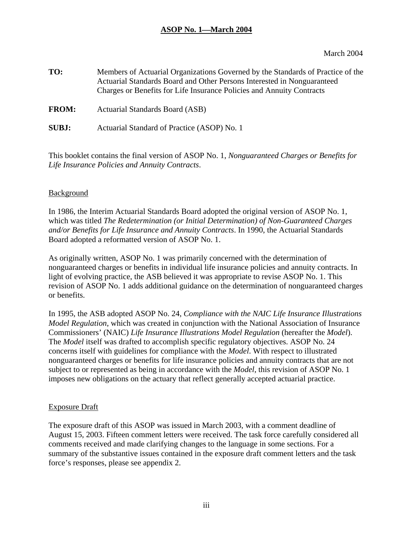March 2004

| TO:          | Members of Actuarial Organizations Governed by the Standards of Practice of the<br>Actuarial Standards Board and Other Persons Interested in Nonguaranteed<br>Charges or Benefits for Life Insurance Policies and Annuity Contracts |
|--------------|-------------------------------------------------------------------------------------------------------------------------------------------------------------------------------------------------------------------------------------|
| <b>FROM:</b> | Actuarial Standards Board (ASB)                                                                                                                                                                                                     |
| <b>SUBJ:</b> | Actuarial Standard of Practice (ASOP) No. 1                                                                                                                                                                                         |

This booklet contains the final version of ASOP No. 1, *Nonguaranteed Charges or Benefits for Life Insurance Policies and Annuity Contracts*.

#### Background

In 1986, the Interim Actuarial Standards Board adopted the original version of ASOP No. 1, which was titled *The Redetermination (or Initial Determination) of Non-Guaranteed Charges and/or Benefits for Life Insurance and Annuity Contracts*. In 1990, the Actuarial Standards Board adopted a reformatted version of ASOP No. 1.

As originally written, ASOP No. 1 was primarily concerned with the determination of nonguaranteed charges or benefits in individual life insurance policies and annuity contracts. In light of evolving practice, the ASB believed it was appropriate to revise ASOP No. 1. This revision of ASOP No. 1 adds additional guidance on the determination of nonguaranteed charges or benefits.

In 1995, the ASB adopted ASOP No. 24, *Compliance with the NAIC Life Insurance Illustrations Model Regulation*, which was created in conjunction with the National Association of Insurance Commissioners' (NAIC) *Life Insurance Illustrations Model Regulation* (hereafter the *Model*). The *Model* itself was drafted to accomplish specific regulatory objectives. ASOP No. 24 concerns itself with guidelines for compliance with the *Model*. With respect to illustrated nonguaranteed charges or benefits for life insurance policies and annuity contracts that are not subject to or represented as being in accordance with the *Model*, this revision of ASOP No. 1 imposes new obligations on the actuary that reflect generally accepted actuarial practice.

#### Exposure Draft

The exposure draft of this ASOP was issued in March 2003, with a comment deadline of August 15, 2003. Fifteen comment letters were received. The task force carefully considered all comments received and made clarifying changes to the language in some sections. For a summary of the substantive issues contained in the exposure draft comment letters and the task force's responses, please see appendix 2.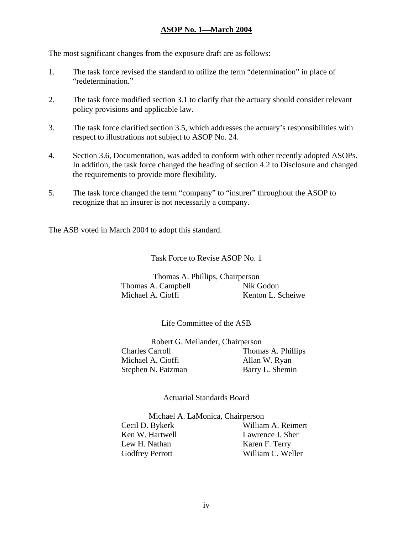The most significant changes from the exposure draft are as follows:

- 1. The task force revised the standard to utilize the term "determination" in place of "redetermination."
- 2. The task force modified section 3.1 to clarify that the actuary should consider relevant policy provisions and applicable law.
- 3. The task force clarified section 3.5, which addresses the actuary's responsibilities with respect to illustrations not subject to ASOP No. 24.
- 4. Section 3.6, Documentation, was added to conform with other recently adopted ASOPs. In addition, the task force changed the heading of section 4.2 to Disclosure and changed the requirements to provide more flexibility.
- 5. The task force changed the term "company" to "insurer" throughout the ASOP to recognize that an insurer is not necessarily a company.

The ASB voted in March 2004 to adopt this standard.

Task Force to Revise ASOP No. 1

Thomas A. Phillips, Chairperson Thomas A. Campbell Nik Godon Michael A. Cioffi Kenton L. Scheiwe

Life Committee of the ASB

Robert G. Meilander, Chairperson Charles Carroll Thomas A. Phillips Michael A. Cioffi Allan W. Ryan Stephen N. Patzman Barry L. Shemin

Actuarial Standards Board

 Michael A. LaMonica, Chairperson Cecil D. Bykerk William A. Reimert Ken W. Hartwell Lawrence J. Sher Lew H. Nathan Karen F. Terry Godfrey Perrott William C. Weller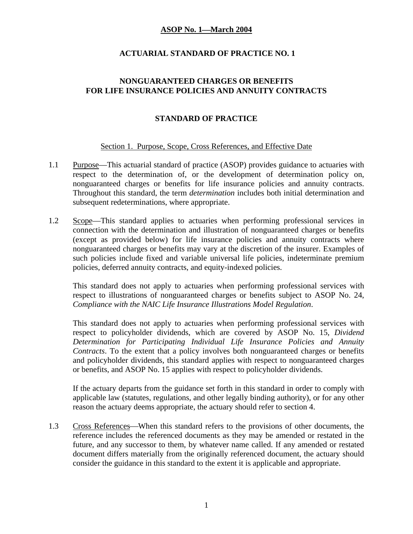### **ACTUARIAL STANDARD OF PRACTICE NO. 1**

#### **NONGUARANTEED CHARGES OR BENEFITS FOR LIFE INSURANCE POLICIES AND ANNUITY CONTRACTS**

### **STANDARD OF PRACTICE**

#### Section 1. Purpose, Scope, Cross References, and Effective Date

- 1.1 Purpose—This actuarial standard of practice (ASOP) provides guidance to actuaries with respect to the determination of, or the development of determination policy on, nonguaranteed charges or benefits for life insurance policies and annuity contracts. Throughout this standard, the term *determination* includes both initial determination and subsequent redeterminations, where appropriate.
- 1.2 Scope—This standard applies to actuaries when performing professional services in connection with the determination and illustration of nonguaranteed charges or benefits (except as provided below) for life insurance policies and annuity contracts where nonguaranteed charges or benefits may vary at the discretion of the insurer. Examples of such policies include fixed and variable universal life policies, indeterminate premium policies, deferred annuity contracts, and equity-indexed policies.

This standard does not apply to actuaries when performing professional services with respect to illustrations of nonguaranteed charges or benefits subject to ASOP No. 24, *Compliance with the NAIC Life Insurance Illustrations Model Regulation*.

This standard does not apply to actuaries when performing professional services with respect to policyholder dividends, which are covered by ASOP No. 15, *Dividend Determination for Participating Individual Life Insurance Policies and Annuity Contracts*. To the extent that a policy involves both nonguaranteed charges or benefits and policyholder dividends, this standard applies with respect to nonguaranteed charges or benefits, and ASOP No. 15 applies with respect to policyholder dividends.

If the actuary departs from the guidance set forth in this standard in order to comply with applicable law (statutes, regulations, and other legally binding authority), or for any other reason the actuary deems appropriate, the actuary should refer to section 4.

1.3 Cross References—When this standard refers to the provisions of other documents, the reference includes the referenced documents as they may be amended or restated in the future, and any successor to them, by whatever name called. If any amended or restated document differs materially from the originally referenced document, the actuary should consider the guidance in this standard to the extent it is applicable and appropriate.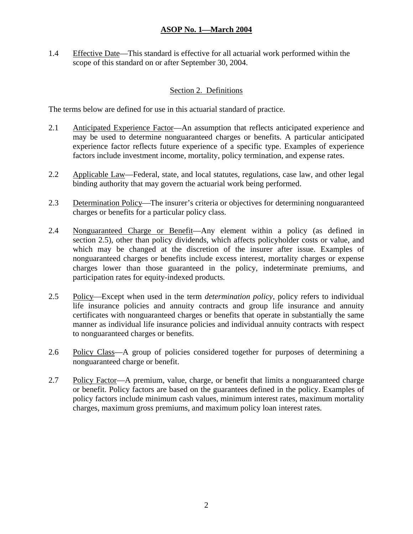1.4 Effective Date—This standard is effective for all actuarial work performed within the scope of this standard on or after September 30, 2004.

#### Section 2. Definitions

The terms below are defined for use in this actuarial standard of practice.

- 2.1 Anticipated Experience Factor—An assumption that reflects anticipated experience and may be used to determine nonguaranteed charges or benefits. A particular anticipated experience factor reflects future experience of a specific type. Examples of experience factors include investment income, mortality, policy termination, and expense rates.
- 2.2 Applicable Law—Federal, state, and local statutes, regulations, case law, and other legal binding authority that may govern the actuarial work being performed.
- 2.3 Determination Policy—The insurer's criteria or objectives for determining nonguaranteed charges or benefits for a particular policy class.
- 2.4 Nonguaranteed Charge or Benefit—Any element within a policy (as defined in section 2.5), other than policy dividends, which affects policyholder costs or value, and which may be changed at the discretion of the insurer after issue. Examples of nonguaranteed charges or benefits include excess interest, mortality charges or expense charges lower than those guaranteed in the policy, indeterminate premiums, and participation rates for equity-indexed products.
- 2.5 Policy—Except when used in the term *determination policy*, policy refers to individual life insurance policies and annuity contracts and group life insurance and annuity certificates with nonguaranteed charges or benefits that operate in substantially the same manner as individual life insurance policies and individual annuity contracts with respect to nonguaranteed charges or benefits.
- 2.6 Policy Class—A group of policies considered together for purposes of determining a nonguaranteed charge or benefit.
- 2.7 Policy Factor—A premium, value, charge, or benefit that limits a nonguaranteed charge or benefit. Policy factors are based on the guarantees defined in the policy. Examples of policy factors include minimum cash values, minimum interest rates, maximum mortality charges, maximum gross premiums, and maximum policy loan interest rates.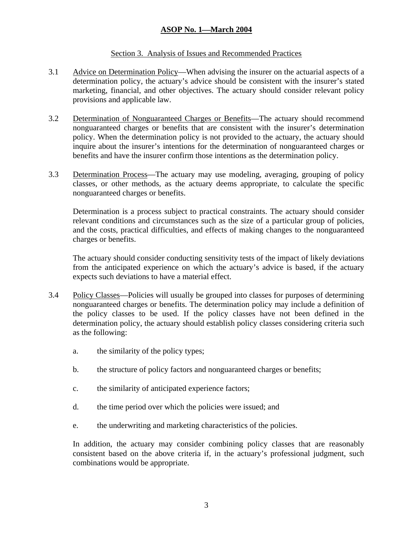#### Section 3. Analysis of Issues and Recommended Practices

- 3.1 Advice on Determination Policy—When advising the insurer on the actuarial aspects of a determination policy, the actuary's advice should be consistent with the insurer's stated marketing, financial, and other objectives. The actuary should consider relevant policy provisions and applicable law.
- 3.2 Determination of Nonguaranteed Charges or Benefits—The actuary should recommend nonguaranteed charges or benefits that are consistent with the insurer's determination policy. When the determination policy is not provided to the actuary, the actuary should inquire about the insurer's intentions for the determination of nonguaranteed charges or benefits and have the insurer confirm those intentions as the determination policy.
- 3.3 Determination Process—The actuary may use modeling, averaging, grouping of policy classes, or other methods, as the actuary deems appropriate, to calculate the specific nonguaranteed charges or benefits.

Determination is a process subject to practical constraints. The actuary should consider relevant conditions and circumstances such as the size of a particular group of policies, and the costs, practical difficulties, and effects of making changes to the nonguaranteed charges or benefits.

The actuary should consider conducting sensitivity tests of the impact of likely deviations from the anticipated experience on which the actuary's advice is based, if the actuary expects such deviations to have a material effect.

- 3.4 Policy Classes—Policies will usually be grouped into classes for purposes of determining nonguaranteed charges or benefits. The determination policy may include a definition of the policy classes to be used. If the policy classes have not been defined in the determination policy, the actuary should establish policy classes considering criteria such as the following:
	- a. the similarity of the policy types;
	- b. the structure of policy factors and nonguaranteed charges or benefits;
	- c. the similarity of anticipated experience factors;
	- d. the time period over which the policies were issued; and
	- e. the underwriting and marketing characteristics of the policies.

In addition, the actuary may consider combining policy classes that are reasonably consistent based on the above criteria if, in the actuary's professional judgment, such combinations would be appropriate.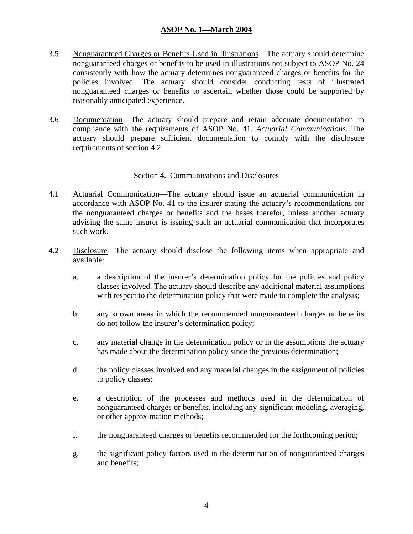- 3.5 Nonguaranteed Charges or Benefits Used in Illustrations—The actuary should determine nonguaranteed charges or benefits to be used in illustrations not subject to ASOP No. 24 consistently with how the actuary determines nonguaranteed charges or benefits for the policies involved. The actuary should consider conducting tests of illustrated nonguaranteed charges or benefits to ascertain whether those could be supported by reasonably anticipated experience.
- 3.6 Documentation—The actuary should prepare and retain adequate documentation in compliance with the requirements of ASOP No. 41, *Actuarial Communications*. The actuary should prepare sufficient documentation to comply with the disclosure requirements of section 4.2.

#### Section 4. Communications and Disclosures

- 4.1 Actuarial Communication—The actuary should issue an actuarial communication in accordance with ASOP No. 41 to the insurer stating the actuary's recommendations for the nonguaranteed charges or benefits and the bases therefor, unless another actuary advising the same insurer is issuing such an actuarial communication that incorporates such work.
- 4.2 Disclosure—The actuary should disclose the following items when appropriate and available:
	- a. a description of the insurer's determination policy for the policies and policy classes involved. The actuary should describe any additional material assumptions with respect to the determination policy that were made to complete the analysis;
	- b. any known areas in which the recommended nonguaranteed charges or benefits do not follow the insurer's determination policy;
	- c. any material change in the determination policy or in the assumptions the actuary has made about the determination policy since the previous determination;
	- d. the policy classes involved and any material changes in the assignment of policies to policy classes;
	- e. a description of the processes and methods used in the determination of nonguaranteed charges or benefits, including any significant modeling, averaging, or other approximation methods;
	- f. the nonguaranteed charges or benefits recommended for the forthcoming period;
	- g. the significant policy factors used in the determination of nonguaranteed charges and benefits;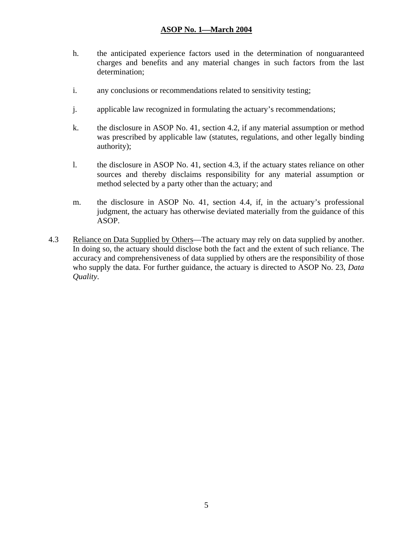- h. the anticipated experience factors used in the determination of nonguaranteed charges and benefits and any material changes in such factors from the last determination;
- i. any conclusions or recommendations related to sensitivity testing;
- j. applicable law recognized in formulating the actuary's recommendations;
- k. the disclosure in ASOP No. 41, section 4.2, if any material assumption or method was prescribed by applicable law (statutes, regulations, and other legally binding authority);
- l. the disclosure in ASOP No. 41, section 4.3, if the actuary states reliance on other sources and thereby disclaims responsibility for any material assumption or method selected by a party other than the actuary; and
- m. the disclosure in ASOP No. 41, section 4.4, if, in the actuary's professional judgment, the actuary has otherwise deviated materially from the guidance of this ASOP.
- 4.3 Reliance on Data Supplied by Others—The actuary may rely on data supplied by another. In doing so, the actuary should disclose both the fact and the extent of such reliance. The accuracy and comprehensiveness of data supplied by others are the responsibility of those who supply the data. For further guidance, the actuary is directed to ASOP No. 23, *Data Quality*.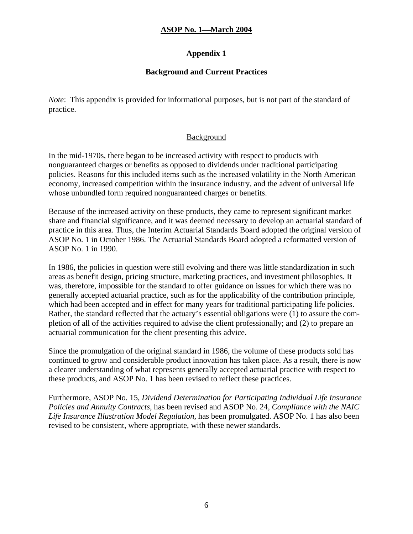### **Appendix 1**

### **Background and Current Practices**

*Note*: This appendix is provided for informational purposes, but is not part of the standard of practice.

### Background

In the mid-1970s, there began to be increased activity with respect to products with nonguaranteed charges or benefits as opposed to dividends under traditional participating policies. Reasons for this included items such as the increased volatility in the North American economy, increased competition within the insurance industry, and the advent of universal life whose unbundled form required nonguaranteed charges or benefits.

Because of the increased activity on these products, they came to represent significant market share and financial significance, and it was deemed necessary to develop an actuarial standard of practice in this area. Thus, the Interim Actuarial Standards Board adopted the original version of ASOP No. 1 in October 1986. The Actuarial Standards Board adopted a reformatted version of ASOP No. 1 in 1990.

In 1986, the policies in question were still evolving and there was little standardization in such areas as benefit design, pricing structure, marketing practices, and investment philosophies. It was, therefore, impossible for the standard to offer guidance on issues for which there was no generally accepted actuarial practice, such as for the applicability of the contribution principle, which had been accepted and in effect for many years for traditional participating life policies. Rather, the standard reflected that the actuary's essential obligations were (1) to assure the completion of all of the activities required to advise the client professionally; and (2) to prepare an actuarial communication for the client presenting this advice.

Since the promulgation of the original standard in 1986, the volume of these products sold has continued to grow and considerable product innovation has taken place. As a result, there is now a clearer understanding of what represents generally accepted actuarial practice with respect to these products, and ASOP No. 1 has been revised to reflect these practices.

Furthermore, ASOP No. 15, *Dividend Determination for Participating Individual Life Insurance Policies and Annuity Contracts*, has been revised and ASOP No. 24, *Compliance with the NAIC Life Insurance Illustration Model Regulation*, has been promulgated. ASOP No. 1 has also been revised to be consistent, where appropriate, with these newer standards.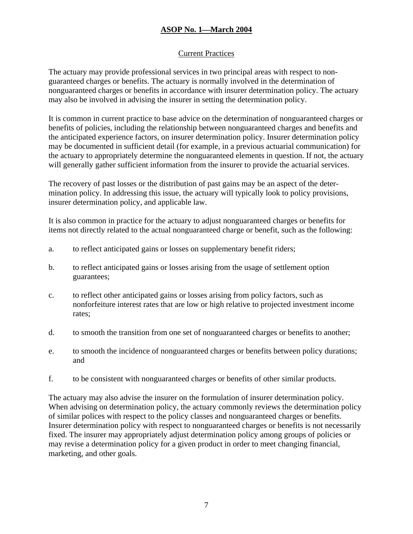### Current Practices

The actuary may provide professional services in two principal areas with respect to nonguaranteed charges or benefits. The actuary is normally involved in the determination of nonguaranteed charges or benefits in accordance with insurer determination policy. The actuary may also be involved in advising the insurer in setting the determination policy.

It is common in current practice to base advice on the determination of nonguaranteed charges or benefits of policies, including the relationship between nonguaranteed charges and benefits and the anticipated experience factors, on insurer determination policy. Insurer determination policy may be documented in sufficient detail (for example, in a previous actuarial communication) for the actuary to appropriately determine the nonguaranteed elements in question. If not, the actuary will generally gather sufficient information from the insurer to provide the actuarial services.

The recovery of past losses or the distribution of past gains may be an aspect of the determination policy. In addressing this issue, the actuary will typically look to policy provisions, insurer determination policy, and applicable law.

It is also common in practice for the actuary to adjust nonguaranteed charges or benefits for items not directly related to the actual nonguaranteed charge or benefit, such as the following:

- a. to reflect anticipated gains or losses on supplementary benefit riders;
- b. to reflect anticipated gains or losses arising from the usage of settlement option guarantees;
- c. to reflect other anticipated gains or losses arising from policy factors, such as nonforfeiture interest rates that are low or high relative to projected investment income rates;
- d. to smooth the transition from one set of nonguaranteed charges or benefits to another;
- e. to smooth the incidence of nonguaranteed charges or benefits between policy durations; and
- f. to be consistent with nonguaranteed charges or benefits of other similar products.

The actuary may also advise the insurer on the formulation of insurer determination policy. When advising on determination policy, the actuary commonly reviews the determination policy of similar polices with respect to the policy classes and nonguaranteed charges or benefits. Insurer determination policy with respect to nonguaranteed charges or benefits is not necessarily fixed. The insurer may appropriately adjust determination policy among groups of policies or may revise a determination policy for a given product in order to meet changing financial, marketing, and other goals.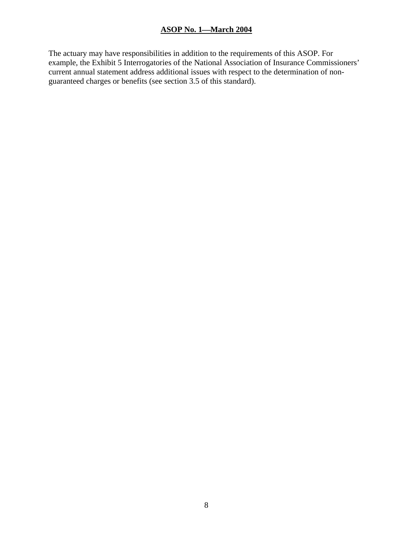The actuary may have responsibilities in addition to the requirements of this ASOP. For example, the Exhibit 5 Interrogatories of the National Association of Insurance Commissioners' current annual statement address additional issues with respect to the determination of nonguaranteed charges or benefits (see section 3.5 of this standard).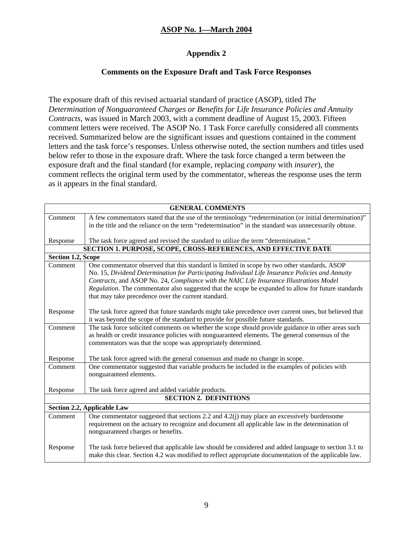### **Appendix 2**

### **Comments on the Exposure Draft and Task Force Responses**

The exposure draft of this revised actuarial standard of practice (ASOP), titled *The Determination of Nonguaranteed Charges or Benefits for Life Insurance Policies and Annuity Contracts*, was issued in March 2003, with a comment deadline of August 15, 2003. Fifteen comment letters were received. The ASOP No. 1 Task Force carefully considered all comments received. Summarized below are the significant issues and questions contained in the comment letters and the task force's responses. Unless otherwise noted, the section numbers and titles used below refer to those in the exposure draft. Where the task force changed a term between the exposure draft and the final standard (for example, replacing *company* with *insurer*), the comment reflects the original term used by the commentator, whereas the response uses the term as it appears in the final standard.

| <b>GENERAL COMMENTS</b>       |                                                                                                                                                                   |  |
|-------------------------------|-------------------------------------------------------------------------------------------------------------------------------------------------------------------|--|
| Comment                       | A few commentators stated that the use of the terminology "redetermination (or initial determination)"                                                            |  |
|                               | in the title and the reliance on the term "redetermination" in the standard was unnecessarily obtuse.                                                             |  |
| Response                      | The task force agreed and revised the standard to utilize the term "determination."                                                                               |  |
|                               | <b>SECTION 1. PURPOSE, SCOPE, CROSS-REFERENCES, AND EFFECTIVE DATE</b>                                                                                            |  |
| <b>Section 1.2, Scope</b>     |                                                                                                                                                                   |  |
| Comment                       | One commentator observed that this standard is limited in scope by two other standards, ASOP                                                                      |  |
|                               | No. 15, Dividend Determination for Participating Individual Life Insurance Policies and Annuity                                                                   |  |
|                               | Contracts, and ASOP No. 24, Compliance with the NAIC Life Insurance Illustrations Model                                                                           |  |
|                               | Regulation. The commentator also suggested that the scope be expanded to allow for future standards                                                               |  |
|                               | that may take precedence over the current standard.                                                                                                               |  |
|                               |                                                                                                                                                                   |  |
| Response                      | The task force agreed that future standards might take precedence over current ones, but believed that                                                            |  |
|                               | it was beyond the scope of the standard to provide for possible future standards.                                                                                 |  |
| Comment                       | The task force solicited comments on whether the scope should provide guidance in other areas such                                                                |  |
|                               | as health or credit insurance policies with nonguaranteed elements. The general consensus of the<br>commentators was that the scope was appropriately determined. |  |
|                               |                                                                                                                                                                   |  |
| Response                      | The task force agreed with the general consensus and made no change in scope.                                                                                     |  |
| Comment                       | One commentator suggested that variable products be included in the examples of policies with                                                                     |  |
|                               | nonguaranteed elements.                                                                                                                                           |  |
|                               |                                                                                                                                                                   |  |
| Response                      | The task force agreed and added variable products.                                                                                                                |  |
| <b>SECTION 2. DEFINITIONS</b> |                                                                                                                                                                   |  |
|                               | Section 2.2, Applicable Law                                                                                                                                       |  |
| Comment                       | One commentator suggested that sections 2.2 and 4.2(j) may place an excessively burdensome                                                                        |  |
|                               | requirement on the actuary to recognize and document all applicable law in the determination of                                                                   |  |
|                               | nonguaranteed charges or benefits.                                                                                                                                |  |
| Response                      | The task force believed that applicable law should be considered and added language to section 3.1 to                                                             |  |
|                               | make this clear. Section 4.2 was modified to reflect appropriate documentation of the applicable law.                                                             |  |
|                               |                                                                                                                                                                   |  |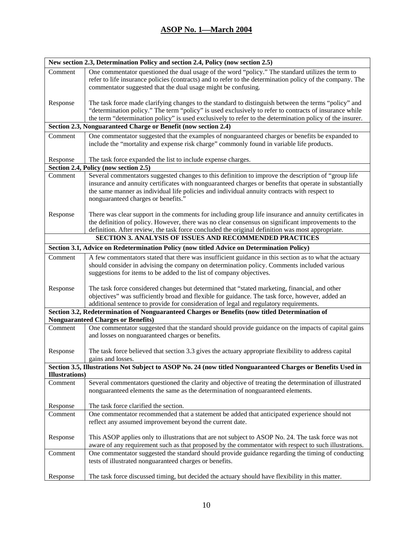| New section 2.3, Determination Policy and section 2.4, Policy (now section 2.5) |                                                                                                                                                                                                                                                                                                                                                                             |  |
|---------------------------------------------------------------------------------|-----------------------------------------------------------------------------------------------------------------------------------------------------------------------------------------------------------------------------------------------------------------------------------------------------------------------------------------------------------------------------|--|
| Comment                                                                         | One commentator questioned the dual usage of the word "policy." The standard utilizes the term to<br>refer to life insurance policies (contracts) and to refer to the determination policy of the company. The<br>commentator suggested that the dual usage might be confusing.                                                                                             |  |
| Response                                                                        | The task force made clarifying changes to the standard to distinguish between the terms "policy" and<br>"determination policy." The term "policy" is used exclusively to refer to contracts of insurance while<br>the term "determination policy" is used exclusively to refer to the determination policy of the insurer.                                                  |  |
|                                                                                 | Section 2.3, Nonguaranteed Charge or Benefit (now section 2.4)                                                                                                                                                                                                                                                                                                              |  |
| Comment                                                                         | One commentator suggested that the examples of nonguaranteed charges or benefits be expanded to<br>include the "mortality and expense risk charge" commonly found in variable life products.                                                                                                                                                                                |  |
| Response                                                                        | The task force expanded the list to include expense charges.                                                                                                                                                                                                                                                                                                                |  |
|                                                                                 | Section 2.4, Policy (now section 2.5)                                                                                                                                                                                                                                                                                                                                       |  |
| Comment                                                                         | Several commentators suggested changes to this definition to improve the description of "group life<br>insurance and annuity certificates with nonguaranteed charges or benefits that operate in substantially<br>the same manner as individual life policies and individual annuity contracts with respect to<br>nonguaranteed charges or benefits."                       |  |
| Response                                                                        | There was clear support in the comments for including group life insurance and annuity certificates in<br>the definition of policy. However, there was no clear consensus on significant improvements to the<br>definition. After review, the task force concluded the original definition was most appropriate.<br>SECTION 3. ANALYSIS OF ISSUES AND RECOMMENDED PRACTICES |  |
|                                                                                 |                                                                                                                                                                                                                                                                                                                                                                             |  |
|                                                                                 | Section 3.1, Advice on Redetermination Policy (now titled Advice on Determination Policy)                                                                                                                                                                                                                                                                                   |  |
| Comment                                                                         | A few commentators stated that there was insufficient guidance in this section as to what the actuary<br>should consider in advising the company on determination policy. Comments included various<br>suggestions for items to be added to the list of company objectives.                                                                                                 |  |
| Response                                                                        | The task force considered changes but determined that "stated marketing, financial, and other<br>objectives" was sufficiently broad and flexible for guidance. The task force, however, added an<br>additional sentence to provide for consideration of legal and regulatory requirements.                                                                                  |  |
|                                                                                 | Section 3.2, Redetermination of Nonguaranteed Charges or Benefits (now titled Determination of                                                                                                                                                                                                                                                                              |  |
|                                                                                 | <b>Nonguaranteed Charges or Benefits)</b>                                                                                                                                                                                                                                                                                                                                   |  |
| Comment                                                                         | One commentator suggested that the standard should provide guidance on the impacts of capital gains<br>and losses on nonguaranteed charges or benefits.                                                                                                                                                                                                                     |  |
| Response                                                                        | The task force believed that section 3.3 gives the actuary appropriate flexibility to address capital<br>gains and losses.                                                                                                                                                                                                                                                  |  |
|                                                                                 | Section 3.5, Illustrations Not Subject to ASOP No. 24 (now titled Nonguaranteed Charges or Benefits Used in                                                                                                                                                                                                                                                                 |  |
| <b>Illustrations</b> )                                                          |                                                                                                                                                                                                                                                                                                                                                                             |  |
| Comment                                                                         | Several commentators questioned the clarity and objective of treating the determination of illustrated<br>nonguaranteed elements the same as the determination of nonguaranteed elements.                                                                                                                                                                                   |  |
| Response                                                                        | The task force clarified the section.                                                                                                                                                                                                                                                                                                                                       |  |
| Comment                                                                         | One commentator recommended that a statement be added that anticipated experience should not<br>reflect any assumed improvement beyond the current date.                                                                                                                                                                                                                    |  |
| Response                                                                        | This ASOP applies only to illustrations that are not subject to ASOP No. 24. The task force was not<br>aware of any requirement such as that proposed by the commentator with respect to such illustrations.                                                                                                                                                                |  |
| Comment                                                                         | One commentator suggested the standard should provide guidance regarding the timing of conducting<br>tests of illustrated nonguaranteed charges or benefits.                                                                                                                                                                                                                |  |
| Response                                                                        | The task force discussed timing, but decided the actuary should have flexibility in this matter.                                                                                                                                                                                                                                                                            |  |